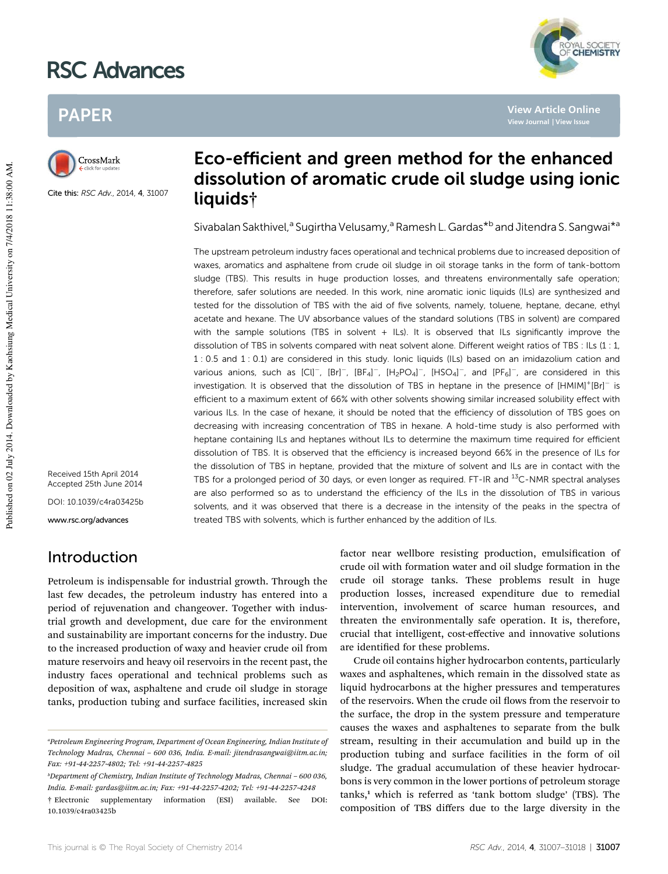# RSC Advances



**View Article Online**

## PAPER



Cite this: RSC Adv., 2014, 4, 31007

### Eco-efficient and green method for the enhanced dissolution of aromatic crude oil sludge using ionic liquids†

Sivabalan Sakthivel,<sup>a</sup> Sugirtha Velusamy,<sup>a</sup> Ramesh L. Gardas<sup>\*b</sup> and Jitendra S. Sangwai<sup>\*a</sup>

The upstream petroleum industry faces operational and technical problems due to increased deposition of waxes, aromatics and asphaltene from crude oil sludge in oil storage tanks in the form of tank-bottom sludge (TBS). This results in huge production losses, and threatens environmentally safe operation; therefore, safer solutions are needed. In this work, nine aromatic ionic liquids (ILs) are synthesized and tested for the dissolution of TBS with the aid of five solvents, namely, toluene, heptane, decane, ethyl acetate and hexane. The UV absorbance values of the standard solutions (TBS in solvent) are compared with the sample solutions (TBS in solvent + ILs). It is observed that ILs significantly improve the dissolution of TBS in solvents compared with neat solvent alone. Different weight ratios of TBS : ILs (1 : 1, 1 : 0.5 and 1 : 0.1) are considered in this study. Ionic liquids (ILs) based on an imidazolium cation and various anions, such as  $[Cl]^-$ ,  $[Br]^-$ ,  $[Br_4]^-$ ,  $[H_2PO_4]^-$ ,  $[HSO_4]^-$ , and  $[PF_6]^-$ , are considered in this investigation. It is observed that the dissolution of TBS in heptane in the presence of [HMIM]<sup>+</sup>[Br]<sup>-</sup> is efficient to a maximum extent of 66% with other solvents showing similar increased solubility effect with various ILs. In the case of hexane, it should be noted that the efficiency of dissolution of TBS goes on decreasing with increasing concentration of TBS in hexane. A hold-time study is also performed with heptane containing ILs and heptanes without ILs to determine the maximum time required for efficient dissolution of TBS. It is observed that the efficiency is increased beyond 66% in the presence of ILs for the dissolution of TBS in heptane, provided that the mixture of solvent and ILs are in contact with the TBS for a prolonged period of 30 days, or even longer as required. FT-IR and <sup>13</sup>C-NMR spectral analyses are also performed so as to understand the efficiency of the ILs in the dissolution of TBS in various solvents, and it was observed that there is a decrease in the intensity of the peaks in the spectra of treated TBS with solvents, which is further enhanced by the addition of ILs.

Received 15th April 2014 Accepted 25th June 2014 DOI: 10.1039/c4ra03425b www.rsc.org/advances

### Introduction

Petroleum is indispensable for industrial growth. Through the last few decades, the petroleum industry has entered into a period of rejuvenation and changeover. Together with industrial growth and development, due care for the environment and sustainability are important concerns for the industry. Due to the increased production of waxy and heavier crude oil from mature reservoirs and heavy oil reservoirs in the recent past, the industry faces operational and technical problems such as deposition of wax, asphaltene and crude oil sludge in storage tanks, production tubing and surface facilities, increased skin

factor near wellbore resisting production, emulsification of crude oil with formation water and oil sludge formation in the crude oil storage tanks. These problems result in huge production losses, increased expenditure due to remedial intervention, involvement of scarce human resources, and threaten the environmentally safe operation. It is, therefore, crucial that intelligent, cost-effective and innovative solutions are identified for these problems.

Crude oil contains higher hydrocarbon contents, particularly waxes and asphaltenes, which remain in the dissolved state as liquid hydrocarbons at the higher pressures and temperatures of the reservoirs. When the crude oil flows from the reservoir to the surface, the drop in the system pressure and temperature causes the waxes and asphaltenes to separate from the bulk stream, resulting in their accumulation and build up in the production tubing and surface facilities in the form of oil sludge. The gradual accumulation of these heavier hydrocarbons is very common in the lower portions of petroleum storage  $tanks$ , which is referred as 'tank bottom sludge' (TBS). The composition of TBS differs due to the large diversity in the

*<sup>a</sup>Petroleum Engineering Program, Department of Ocean Engineering, Indian Institute of Technology Madras, Chennai* – *600 036, India. E-mail: jitendrasangwai@iitm.ac.in; Fax: +91-44-2257-4802; Tel: +91-44-2257-4825*

*<sup>b</sup>Department of Chemistry, Indian Institute of Technology Madras, Chennai* – *600 036, India. E-mail: gardas@iitm.ac.in; Fax: +91-44-2257-4202; Tel: +91-44-2257-4248*

<sup>†</sup> Electronic supplementary information (ESI) available. See DOI: 10.1039/c4ra03425b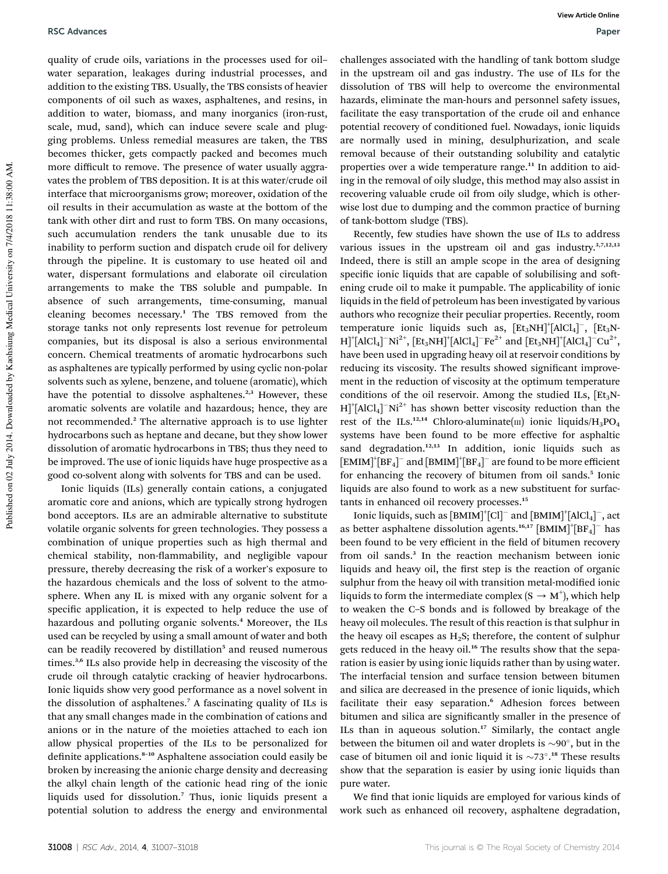quality of crude oils, variations in the processes used for oil– water separation, leakages during industrial processes, and addition to the existing TBS. Usually, the TBS consists of heavier components of oil such as waxes, asphaltenes, and resins, in addition to water, biomass, and many inorganics (iron-rust, scale, mud, sand), which can induce severe scale and plugging problems. Unless remedial measures are taken, the TBS becomes thicker, gets compactly packed and becomes much more difficult to remove. The presence of water usually aggravates the problem of TBS deposition. It is at this water/crude oil interface that microorganisms grow; moreover, oxidation of the oil results in their accumulation as waste at the bottom of the tank with other dirt and rust to form TBS. On many occasions, such accumulation renders the tank unusable due to its inability to perform suction and dispatch crude oil for delivery through the pipeline. It is customary to use heated oil and water, dispersant formulations and elaborate oil circulation arrangements to make the TBS soluble and pumpable. In absence of such arrangements, time-consuming, manual cleaning becomes necessary.<sup>1</sup> The TBS removed from the storage tanks not only represents lost revenue for petroleum companies, but its disposal is also a serious environmental concern. Chemical treatments of aromatic hydrocarbons such as asphaltenes are typically performed by using cyclic non-polar solvents such as xylene, benzene, and toluene (aromatic), which have the potential to dissolve asphaltenes.<sup>2,3</sup> However, these aromatic solvents are volatile and hazardous; hence, they are not recommended.<sup>2</sup> The alternative approach is to use lighter hydrocarbons such as heptane and decane, but they show lower dissolution of aromatic hydrocarbons in TBS; thus they need to be improved. The use of ionic liquids have huge prospective as a good co-solvent along with solvents for TBS and can be used.

Ionic liquids (ILs) generally contain cations, a conjugated aromatic core and anions, which are typically strong hydrogen bond acceptors. ILs are an admirable alternative to substitute volatile organic solvents for green technologies. They possess a combination of unique properties such as high thermal and chemical stability, non-flammability, and negligible vapour pressure, thereby decreasing the risk of a worker's exposure to the hazardous chemicals and the loss of solvent to the atmosphere. When any IL is mixed with any organic solvent for a specific application, it is expected to help reduce the use of hazardous and polluting organic solvents.<sup>4</sup> Moreover, the ILs used can be recycled by using a small amount of water and both can be readily recovered by distillation<sup>5</sup> and reused numerous times.3,6 ILs also provide help in decreasing the viscosity of the crude oil through catalytic cracking of heavier hydrocarbons. Ionic liquids show very good performance as a novel solvent in the dissolution of asphaltenes.<sup>7</sup> A fascinating quality of ILs is that any small changes made in the combination of cations and anions or in the nature of the moieties attached to each ion allow physical properties of the ILs to be personalized for definite applications.<sup>8-10</sup> Asphaltene association could easily be broken by increasing the anionic charge density and decreasing the alkyl chain length of the cationic head ring of the ionic liquids used for dissolution.<sup>7</sup> Thus, ionic liquids present a potential solution to address the energy and environmental

challenges associated with the handling of tank bottom sludge in the upstream oil and gas industry. The use of ILs for the dissolution of TBS will help to overcome the environmental hazards, eliminate the man-hours and personnel safety issues, facilitate the easy transportation of the crude oil and enhance potential recovery of conditioned fuel. Nowadays, ionic liquids are normally used in mining, desulphurization, and scale removal because of their outstanding solubility and catalytic properties over a wide temperature range.<sup>11</sup> In addition to aiding in the removal of oily sludge, this method may also assist in recovering valuable crude oil from oily sludge, which is otherwise lost due to dumping and the common practice of burning of tank-bottom sludge (TBS).

Recently, few studies have shown the use of ILs to address various issues in the upstream oil and gas industry. $3,7,12,13$ Indeed, there is still an ample scope in the area of designing specific ionic liquids that are capable of solubilising and softening crude oil to make it pumpable. The applicability of ionic liquids in the field of petroleum has been investigated by various authors who recognize their peculiar properties. Recently, room temperature ionic liquids such as,  $[Et_3NH]^+[AICI_4]^-$ ,  $[Et_3N+$  $H$ <sup>+</sup>[AlCl<sub>4</sub>]<sup>-</sup>Ni<sup>2+</sup>, [Et<sub>3</sub>NH]<sup>+</sup>[AlCl<sub>4</sub>]<sup>-</sup>Fe<sup>2+</sup> and [Et<sub>3</sub>NH]<sup>+</sup>[AlCl<sub>4</sub>]<sup>-</sup>Cu<sup>2+</sup>, have been used in upgrading heavy oil at reservoir conditions by reducing its viscosity. The results showed significant improvement in the reduction of viscosity at the optimum temperature conditions of the oil reservoir. Among the studied ILs,  $[Et<sub>3</sub>N H$ <sup>+</sup>[AlCl<sub>4</sub>]<sup>-</sup>Ni<sup>2+</sup> has shown better viscosity reduction than the rest of the ILs.<sup>12,14</sup> Chloro-aluminate(III) ionic liquids/ $H_3PO_4$ systems have been found to be more effective for asphaltic sand degradation.<sup>12,13</sup> In addition, ionic liquids such as  $\text{[EMIM]}^\dagger \text{[BF_4]}^-$  and  $\text{[BMIM]}^\dagger \text{[BF_4]}^-$  are found to be more efficient for enhancing the recovery of bitumen from oil sands.<sup>5</sup> Ionic liquids are also found to work as a new substituent for surfactants in enhanced oil recovery processes.<sup>15</sup>

Ionic liquids, such as  $\text{[BMM]}^+[\text{Cl}^-$  and  $\text{[BMIM]}^+[\text{AlCl}_4]^-$ , act as better asphaltene dissolution agents.<sup>16,17</sup> [BMIM]<sup>+</sup>[BF<sub>4</sub>]<sup>-</sup> has been found to be very efficient in the field of bitumen recovery from oil sands.<sup>3</sup> In the reaction mechanism between ionic liquids and heavy oil, the first step is the reaction of organic sulphur from the heavy oil with transition metal-modified ionic liquids to form the intermediate complex ( $S \rightarrow M^+$ ), which help to weaken the C–S bonds and is followed by breakage of the heavy oil molecules. The result of this reaction is that sulphur in the heavy oil escapes as  $H_2S$ ; therefore, the content of sulphur gets reduced in the heavy oil.<sup>16</sup> The results show that the separation is easier by using ionic liquids rather than by using water. The interfacial tension and surface tension between bitumen and silica are decreased in the presence of ionic liquids, which facilitate their easy separation.<sup>6</sup> Adhesion forces between bitumen and silica are significantly smaller in the presence of ILs than in aqueous solution. $17$  Similarly, the contact angle between the bitumen oil and water droplets is  $\sim$ 90 $^{\circ}$ , but in the case of bitumen oil and ionic liquid it is  $\sim 73^\circ$ .<sup>18</sup> These results show that the separation is easier by using ionic liquids than pure water.

We find that ionic liquids are employed for various kinds of work such as enhanced oil recovery, asphaltene degradation,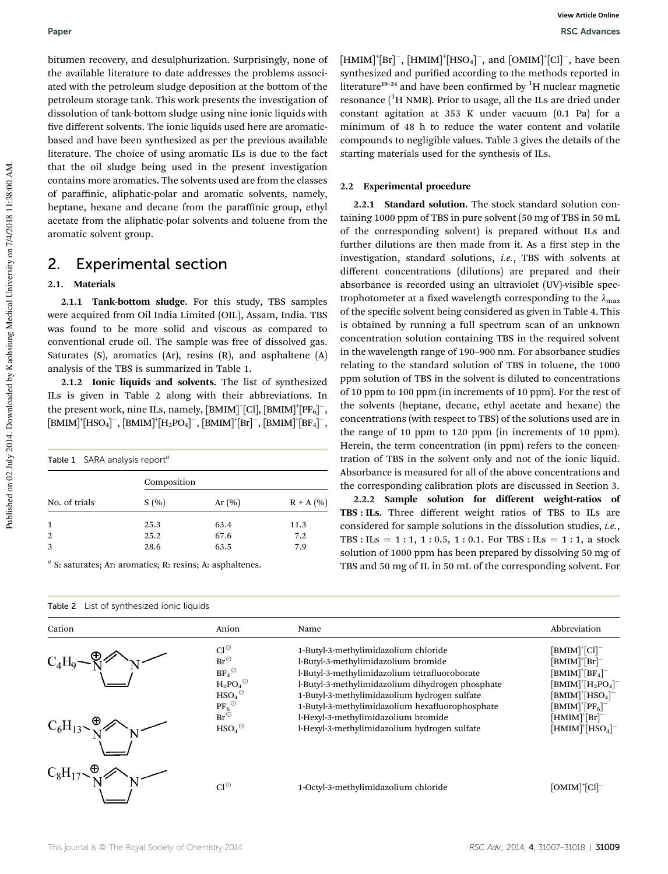bitumen recovery, and desulphurization. Surprisingly, none of the available literature to date addresses the problems associated with the petroleum sludge deposition at the bottom of the petroleum storage tank. This work presents the investigation of dissolution of tank-bottom sludge using nine ionic liquids with five different solvents. The ionic liquids used here are aromaticbased and have been synthesized as per the previous available literature. The choice of using aromatic ILs is due to the fact that the oil sludge being used in the present investigation contains more aromatics. The solvents used are from the classes of paraffinic, aliphatic-polar and aromatic solvents, namely, heptane, hexane and decane from the paraffinic group, ethyl acetate from the aliphatic-polar solvents and toluene from the aromatic solvent group.

### 2. Experimental section

#### 2.1. Materials

2.1.1 Tank-bottom sludge. For this study, TBS samples were acquired from Oil India Limited (OIL), Assam, India. TBS was found to be more solid and viscous as compared to conventional crude oil. The sample was free of dissolved gas. Saturates (S), aromatics (Ar), resins (R), and asphaltene (A) analysis of the TBS is summarized in Table 1.

2.1.2 Ionic liquids and solvents. The list of synthesized ILs is given in Table 2 along with their abbreviations. In the present work, nine ILs, namely,  $[\text{BMIM}]^{+}[\text{Cl}], [\text{BMIM}]^{+}[\text{PF}_6]^{-},$  $[\mathrm{BMIM}]^{+}[\mathrm{HSO_4}]^{-}, [\mathrm{BMIM}]^{+}[\mathrm{H_2PO_4}]^{-}, [\mathrm{BMIM}]^{+}[\mathrm{Br}]^{-}, [\mathrm{BMIM}]^{+}[\mathrm{BF_4}]^{-},$ 

| Table 1 SARA analysis report <sup>a</sup> |             |           |      |  |  |  |  |  |  |
|-------------------------------------------|-------------|-----------|------|--|--|--|--|--|--|
|                                           | Composition |           |      |  |  |  |  |  |  |
| No. of trials                             | S(%)        | Ar $(\%)$ |      |  |  |  |  |  |  |
| 1                                         | 25.3        | 63.4      | 11.3 |  |  |  |  |  |  |
| $\overline{2}$                            | 25.2        | 67.6      | 7.2  |  |  |  |  |  |  |
| 3                                         | 28.6        | 63.5      | 7.9  |  |  |  |  |  |  |

*a* S: saturates; Ar: aromatics; R: resins; A: asphaltenes.

|  | Table 2 List of synthesized ionic liquids |  |
|--|-------------------------------------------|--|
|--|-------------------------------------------|--|

 $[\text{HMM}]^{\text{+}}[\text{Br}]^{-}$ ,  $[\text{HMM}]^{\text{+}}[\text{HSO}_4]^{-}$ , and  $[\text{OMIM}]^{\text{+}}[\text{Cl}]^{-}$ , have been synthesized and purified according to the methods reported in literature<sup>19-24</sup> and have been confirmed by  ${}^{1}$ H nuclear magnetic resonance  $(^1H$  NMR). Prior to usage, all the ILs are dried under constant agitation at 353 K under vacuum (0.1 Pa) for a minimum of 48 h to reduce the water content and volatile compounds to negligible values. Table 3 gives the details of the starting materials used for the synthesis of ILs.

### 2.2 Experimental procedure

2.2.1 Standard solution. The stock standard solution containing 1000 ppm of TBS in pure solvent (50 mg of TBS in 50 mL of the corresponding solvent) is prepared without ILs and further dilutions are then made from it. As a first step in the investigation, standard solutions, *i.e.*, TBS with solvents at different concentrations (dilutions) are prepared and their absorbance is recorded using an ultraviolet (UV)-visible spectrophotometer at a fixed wavelength corresponding to the  $\lambda_{\text{max}}$ of the specific solvent being considered as given in Table 4. This is obtained by running a full spectrum scan of an unknown concentration solution containing TBS in the required solvent in the wavelength range of 190–900 nm. For absorbance studies relating to the standard solution of TBS in toluene, the 1000 ppm solution of TBS in the solvent is diluted to concentrations of 10 ppm to 100 ppm (in increments of 10 ppm). For the rest of the solvents (heptane, decane, ethyl acetate and hexane) the concentrations (with respect to TBS) of the solutions used are in the range of 10 ppm to 120 ppm (in increments of 10 ppm). Herein, the term concentration (in ppm) refers to the concentration of TBS in the solvent only and not of the ionic liquid. Absorbance is measured for all of the above concentrations and the corresponding calibration plots are discussed in Section 3.

2.2.2 Sample solution for different weight-ratios of TBS : ILs. Three different weight ratios of TBS to ILs are considered for sample solutions in the dissolution studies, *i.e.*, TBS : ILs = 1 : 1, 1 : 0.5, 1 : 0.1. For TBS : ILs = 1 : 1, a stock solution of 1000 ppm has been prepared by dissolving 50 mg of TBS and 50 mg of IL in 50 mL of the corresponding solvent. For

| Cation                  | Anion                                                                                                                                                                                                                          | Name                                                                                                                                                                                                                                                                                                                                                                       | Abbreviation                                                                                                                                                                                                                                       |
|-------------------------|--------------------------------------------------------------------------------------------------------------------------------------------------------------------------------------------------------------------------------|----------------------------------------------------------------------------------------------------------------------------------------------------------------------------------------------------------------------------------------------------------------------------------------------------------------------------------------------------------------------------|----------------------------------------------------------------------------------------------------------------------------------------------------------------------------------------------------------------------------------------------------|
| $C_4H_9$<br>$C_6H_{13}$ | $Cl^{\odot}$<br>$Br^{\odot}$<br>$\text{BF}_4$ <sup><math>\odot</math></sup><br>$H_2PO_4$ <sup><math>\odot</math></sup><br>HSO <sub>4</sub><br>$\mathrm{PF}_6$ <sup><math>\odot</math></sup><br>$Br^{\odot}$<br>$HSO_4^{\odot}$ | 1-Butyl-3-methylimidazolium chloride<br>l-Butyl-3-methylimidazolium bromide<br>l-Butyl-3-methylimidazolium tetrafluoroborate<br>l-Butyl-3-methylimidazolium dihydrogen phosphate<br>1-Butyl-3-methylimidazolium hydrogen sulfate<br>1-Butyl-3-methylimidazolium hexafluorophosphate<br>l-Hexyl-3-methylimidazolium bromide<br>l-Hexyl-3-methylimidazolium hydrogen sulfate | $[BMIM]^{\dagger}[Cl]^{-}$<br>$[BMIM]^+[Br]^-$<br>$[BMIM]^{\dagger}[BF_4]^{-}$<br>$[BMIM]^+ [H_2PO_4]^-$<br>$[BMIM]^+ [HSO_4]^-$<br>$\textsf{[BMIM]}^+\textsf{[PF}_6]^-$<br>$[{\rm H}{\rm M}{\rm I}{\rm M}]^+ [{\rm Br}]^-$<br>$[HMIM]^+[HSO_4]^-$ |
| $C_8H_{17}$             | $Cl^{\odot}$                                                                                                                                                                                                                   | 1-Octyl-3-methylimidazolium chloride                                                                                                                                                                                                                                                                                                                                       | $[OMIM]^{\dagger}[Cl]^{\dagger}$                                                                                                                                                                                                                   |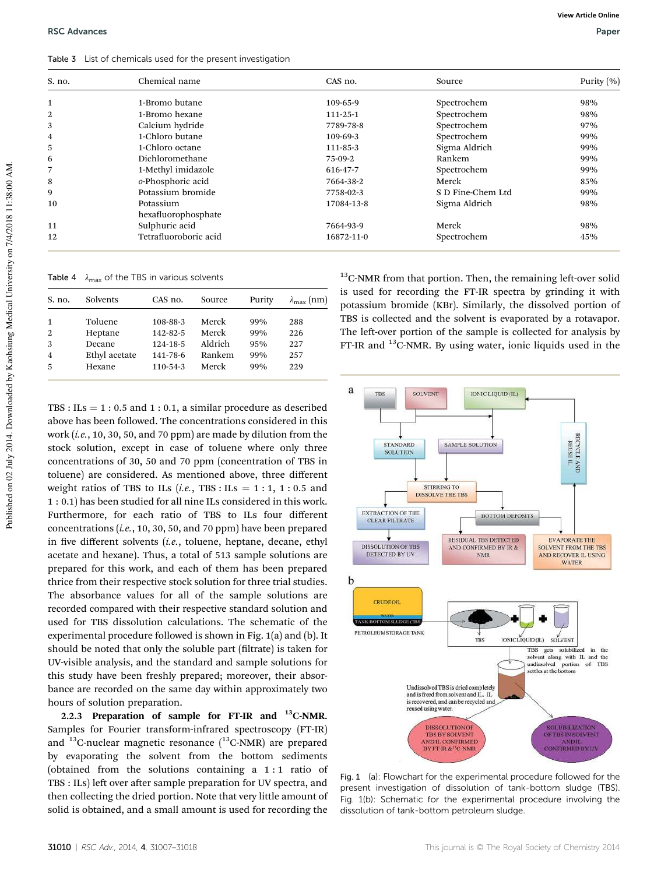Table 3 List of chemicals used for the present investigation

| S. no.         | Chemical name                    | CAS no.    | Source            | Purity $(\% )$ |
|----------------|----------------------------------|------------|-------------------|----------------|
| $\mathbf{1}$   | 1-Bromo butane                   | 109-65-9   | Spectrochem       | 98%            |
| 2              | 1-Bromo hexane                   | 111-25-1   | Spectrochem       | 98%            |
| 3              | Calcium hydride                  | 7789-78-8  | Spectrochem       | 97%            |
| $\overline{4}$ | 1-Chloro butane                  | 109-69-3   | Spectrochem       | 99%            |
| 5              | 1-Chloro octane                  | 111-85-3   | Sigma Aldrich     | 99%            |
| 6              | Dichloromethane                  | 75-09-2    | Rankem            | 99%            |
| 7              | 1-Methyl imidazole               | 616-47-7   | Spectrochem       | 99%            |
| 8              | o-Phosphoric acid                | 7664-38-2  | Merck             | 85%            |
| 9              | Potassium bromide                | 7758-02-3  | S D Fine-Chem Ltd | 99%            |
| 10             | Potassium<br>hexafluorophosphate | 17084-13-8 | Sigma Aldrich     | 98%            |
| 11             | Sulphuric acid                   | 7664-93-9  | Merck             | 98%            |
| 12             | Tetrafluoroboric acid            | 16872-11-0 | Spectrochem       | 45%            |

Table 4  $\lambda_{\text{max}}$  of the TBS in various solvents

| S. no.         | Solvents      | CAS no.        | Source  | Purity | $\lambda_{\max}$ (nm) |
|----------------|---------------|----------------|---------|--------|-----------------------|
|                |               |                |         |        |                       |
| 1              | Toluene       | 108-88-3       | Merck   | 99%    | 288                   |
| 2              | Heptane       | $142 - 82 - 5$ | Merck   | 99%    | 226                   |
| 3              | Decane        | 124-18-5       | Aldrich | 95%    | 227                   |
| $\overline{4}$ | Ethyl acetate | 141-78-6       | Rankem  | 99%    | 257                   |
| 5              | Hexane        | $110 - 54 - 3$ | Merck   | 99%    | 229                   |
|                |               |                |         |        |                       |

 $13$ C-NMR from that portion. Then, the remaining left-over solid is used for recording the FT-IR spectra by grinding it with potassium bromide (KBr). Similarly, the dissolved portion of TBS is collected and the solvent is evaporated by a rotavapor. The left-over portion of the sample is collected for analysis by FT-IR and <sup>13</sup>C-NMR. By using water, ionic liquids used in the

TBS :  $ILs = 1$  : 0.5 and 1 : 0.1, a similar procedure as described above has been followed. The concentrations considered in this work (*i.e.*, 10, 30, 50, and 70 ppm) are made by dilution from the stock solution, except in case of toluene where only three concentrations of 30, 50 and 70 ppm (concentration of TBS in toluene) are considered. As mentioned above, three different weight ratios of TBS to ILs  $(i.e.,$  TBS : ILs = 1 : 1, 1 : 0.5 and 1 : 0.1) has been studied for all nine ILs considered in this work. Furthermore, for each ratio of TBS to ILs four different concentrations (*i.e.*, 10, 30, 50, and 70 ppm) have been prepared in five different solvents (*i.e.*, toluene, heptane, decane, ethyl acetate and hexane). Thus, a total of 513 sample solutions are prepared for this work, and each of them has been prepared thrice from their respective stock solution for three trial studies. The absorbance values for all of the sample solutions are recorded compared with their respective standard solution and used for TBS dissolution calculations. The schematic of the experimental procedure followed is shown in Fig. 1(a) and (b). It should be noted that only the soluble part (filtrate) is taken for UV-visible analysis, and the standard and sample solutions for this study have been freshly prepared; moreover, their absorbance are recorded on the same day within approximately two hours of solution preparation.

2.2.3 Preparation of sample for FT-IR and <sup>13</sup>C-NMR. Samples for Fourier transform-infrared spectroscopy (FT-IR) and  $^{13}$ C-nuclear magnetic resonance  $(^{13}$ C-NMR) are prepared by evaporating the solvent from the bottom sediments (obtained from the solutions containing a 1 : 1 ratio of TBS : ILs) left over after sample preparation for UV spectra, and then collecting the dried portion. Note that very little amount of solid is obtained, and a small amount is used for recording the



Fig. 1 (a): Flowchart for the experimental procedure followed for the present investigation of dissolution of tank-bottom sludge (TBS). Fig. 1(b): Schematic for the experimental procedure involving the dissolution of tank-bottom petroleum sludge.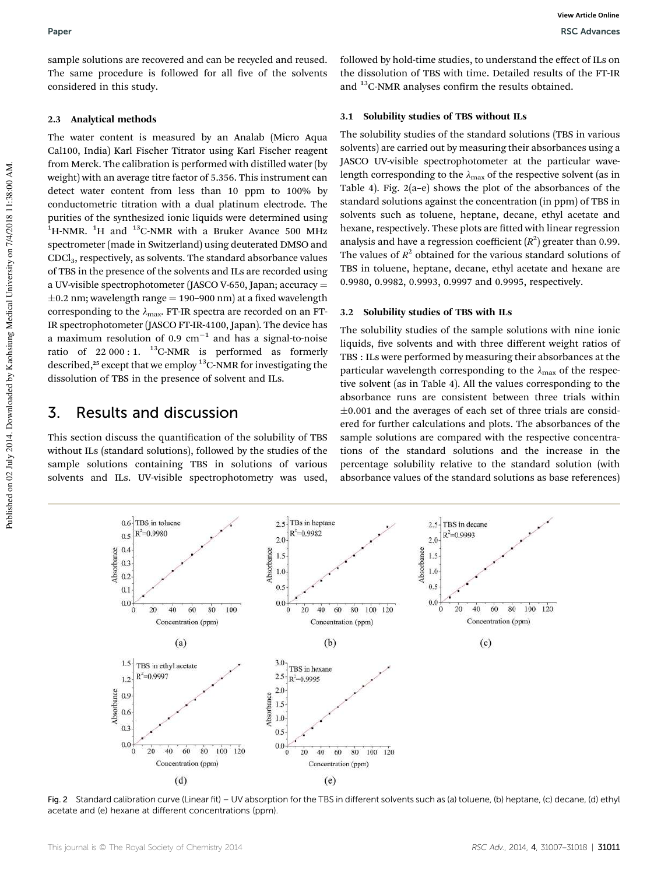sample solutions are recovered and can be recycled and reused. The same procedure is followed for all five of the solvents considered in this study.

#### 2.3 Analytical methods

The water content is measured by an Analab (Micro Aqua Cal100, India) Karl Fischer Titrator using Karl Fischer reagent from Merck. The calibration is performed with distilled water (by weight) with an average titre factor of 5.356. This instrument can detect water content from less than 10 ppm to 100% by conductometric titration with a dual platinum electrode. The purities of the synthesized ionic liquids were determined using  $1$ <sup>1</sup>H-NMR. <sup>1</sup>H and <sup>13</sup>C-NMR with a Bruker Avance 500 MHz spectrometer (made in Switzerland) using deuterated DMSO and CDCl3, respectively, as solvents. The standard absorbance values of TBS in the presence of the solvents and ILs are recorded using a UV-visible spectrophotometer (JASCO V-650, Japan; accuracy  $=$  $\pm$ 0.2 nm; wavelength range = 190–900 nm) at a fixed wavelength corresponding to the  $\lambda_{\text{max}}$ . FT-IR spectra are recorded on an FT-IR spectrophotometer (JASCO FT-IR-4100, Japan). The device has a maximum resolution of  $0.9 \text{ cm}^{-1}$  and has a signal-to-noise ratio of  $22\,000$ : 1. <sup>13</sup>C-NMR is performed as formerly described, $25$  except that we employ  $13$ C-NMR for investigating the dissolution of TBS in the presence of solvent and ILs.

### 3. Results and discussion

This section discuss the quantification of the solubility of TBS without ILs (standard solutions), followed by the studies of the sample solutions containing TBS in solutions of various solvents and ILs. UV-visible spectrophotometry was used,

followed by hold-time studies, to understand the effect of ILs on the dissolution of TBS with time. Detailed results of the FT-IR and <sup>13</sup>C-NMR analyses confirm the results obtained.

#### 3.1 Solubility studies of TBS without ILs

The solubility studies of the standard solutions (TBS in various solvents) are carried out by measuring their absorbances using a JASCO UV-visible spectrophotometer at the particular wavelength corresponding to the  $\lambda_{\text{max}}$  of the respective solvent (as in Table 4). Fig. 2(a–e) shows the plot of the absorbances of the standard solutions against the concentration (in ppm) of TBS in solvents such as toluene, heptane, decane, ethyl acetate and hexane, respectively. These plots are fitted with linear regression analysis and have a regression coefficient  $(R^2)$  greater than 0.99. The values of  $R^2$  obtained for the various standard solutions of TBS in toluene, heptane, decane, ethyl acetate and hexane are 0.9980, 0.9982, 0.9993, 0.9997 and 0.9995, respectively.

#### 3.2 Solubility studies of TBS with ILs

The solubility studies of the sample solutions with nine ionic liquids, five solvents and with three different weight ratios of TBS : ILs were performed by measuring their absorbances at the particular wavelength corresponding to the  $\lambda_{\text{max}}$  of the respective solvent (as in Table 4). All the values corresponding to the absorbance runs are consistent between three trials within  $\pm 0.001$  and the averages of each set of three trials are considered for further calculations and plots. The absorbances of the sample solutions are compared with the respective concentrations of the standard solutions and the increase in the percentage solubility relative to the standard solution (with absorbance values of the standard solutions as base references)



Fig. 2 Standard calibration curve (Linear fit) – UV absorption for the TBS in different solvents such as (a) toluene, (b) heptane, (c) decane, (d) ethyl acetate and (e) hexane at different concentrations (ppm).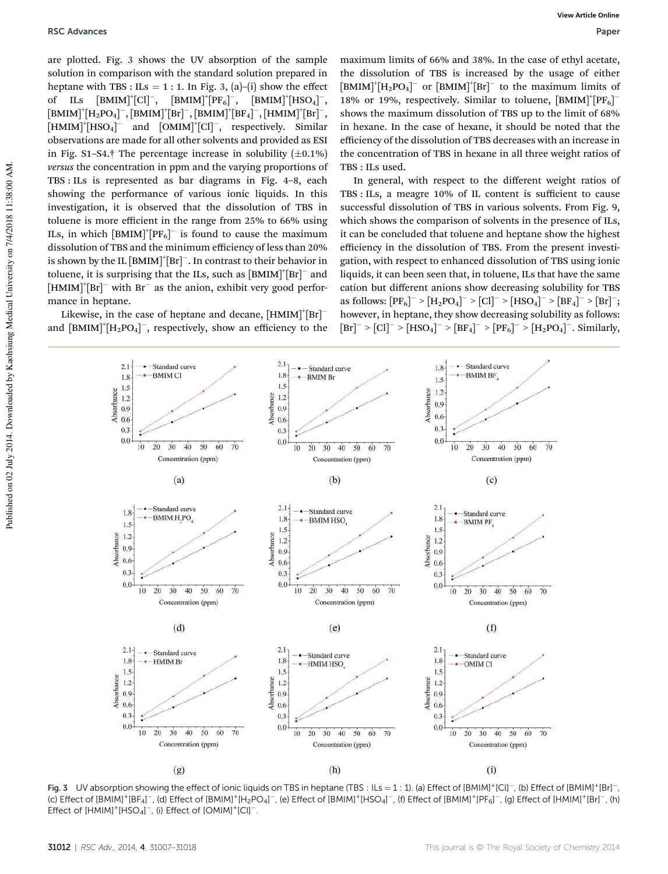are plotted. Fig. 3 shows the UV absorption of the sample solution in comparison with the standard solution prepared in heptane with TBS : ILs = 1 : 1. In Fig. 3, (a)–(i) show the effect of ILs  $[\text{BMM}]^+[\text{Cl}]^-$ ,  $[\text{BMM}]^+[\text{PF}_6]^-$ ,  $[\text{BMM}]^+[\text{HSO}_4]^-$ ,  $\text{[BMIM]}^{+}\text{[H}_{2}\text{PO}_{4}\text{]}^{-}, \text{[BMIM]}^{+}\text{[Br]}^{-}, \text{[BMIM]}^{+}\text{[BF}_{4}\text{]}^{-}, \text{[HMM]}^{+}\text{[Br]}^{-},$  $[HMM]^+[HSO_4]^-$  and  $[OMIM]^+[Cl]^-,$  respectively. Similar observations are made for all other solvents and provided as ESI in Fig. S1–S4.† The percentage increase in solubility  $(\pm 0.1\%)$ *versus* the concentration in ppm and the varying proportions of TBS : ILs is represented as bar diagrams in Fig. 4–8, each showing the performance of various ionic liquids. In this investigation, it is observed that the dissolution of TBS in toluene is more efficient in the range from 25% to 66% using ILs, in which  $[BMIM]^{\dagger}[PF_6]$ <sup>-</sup> is found to cause the maximum dissolution of TBS and the minimum efficiency of less than 20% is shown by the IL  $[\text{BMIM}]^{\dagger}[\text{Br}]^{\dagger}$ . In contrast to their behavior in toluene, it is surprising that the ILs, such as  $[**BMIM**]<sup>+</sup>[**Br**]<sup>-</sup>$  and  $[HMIN]^+ [Br]^-$  with  $Br^-$  as the anion, exhibit very good performance in heptane.

Likewise, in the case of heptane and decane,  $[H M I M]$ <sup>+</sup> $[Br]$ <sup>-</sup> and  $\text{[BMIM]}^{+}[\text{H}_2\text{PO}_4]^{-}$ , respectively, show an efficiency to the

maximum limits of 66% and 38%. In the case of ethyl acetate, the dissolution of TBS is increased by the usage of either  $[{\rm BMIM}]^{\dagger} [{\rm H}_{2}{\rm PO}_{4}]^{-}$  or  $[{\rm BMIM}]^{\dagger} [{\rm Br}]^{-}$  to the maximum limits of 18% or 19%, respectively. Similar to toluene,  $[\text{BMM}]^{\dagger} [\text{PF}_6]^$ shows the maximum dissolution of TBS up to the limit of 68% in hexane. In the case of hexane, it should be noted that the efficiency of the dissolution of TBS decreases with an increase in the concentration of TBS in hexane in all three weight ratios of TBS : ILs used.

In general, with respect to the different weight ratios of TBS : ILs, a meagre 10% of IL content is sufficient to cause successful dissolution of TBS in various solvents. From Fig. 9, which shows the comparison of solvents in the presence of ILs, it can be concluded that toluene and heptane show the highest efficiency in the dissolution of TBS. From the present investigation, with respect to enhanced dissolution of TBS using ionic liquids, it can been seen that, in toluene, ILs that have the same cation but different anions show decreasing solubility for TBS as follows:  $[PF_6]^- > [H_2PO_4]^- > [Cl]^- > [HSO_4]^- > [BF_4]^- > [Br]^-;$ however, in heptane, they show decreasing solubility as follows:  $[\text{Br}]^- > [\text{Cl}]^- > [\text{HSO}_4]^- > [\text{BF}_4]^- > [\text{PF}_6]^- > [\text{H}_2\text{PO}_4]^-$ . Similarly,



Fig. 3 UV absorption showing the effect of ionic liquids on TBS in heptane (TBS: ILs = 1:1). (a) Effect of [BMIM]<sup>+</sup>[Cl]<sup>-</sup>, (b) Effect of [BMIM]<sup>+</sup>[Br]<sup>-</sup>, (c) Effect of [BMIM]<sup>+</sup>[BF<sub>4</sub>]<sup>-</sup>, (d) Effect of [BMIM]<sup>+</sup>[H<sub>2</sub>PO<sub>4</sub>]<sup>-</sup>, (e) Effect of [BMIM]<sup>+</sup>[HSO<sub>4</sub>]<sup>-</sup>, (f) Effect of [BMIM]<sup>+</sup>[PF<sub>6</sub>]<sup>-</sup>, (g) Effect of [HMIM]<sup>+</sup>[Br]<sup>-</sup>, (h) Effect of  $[HMIM]^+[HSO_4]^-$ , (i) Effect of  $[OMIM]^+[Cl]^-$ .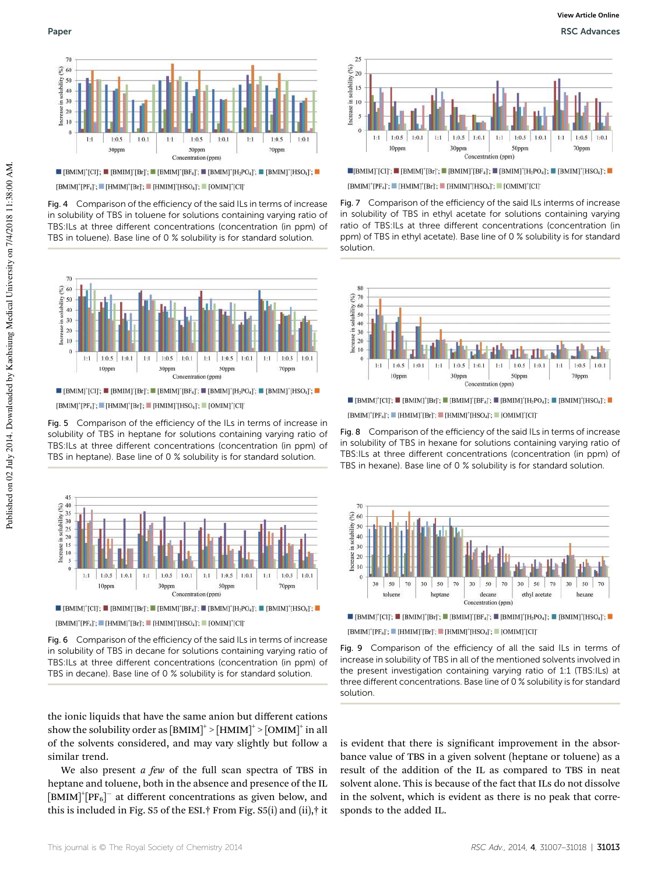

 $\blacksquare$  [BMIM]<sup>+</sup>[CI]<sup>+</sup>;  $\blacksquare$  [BMIM]<sup>+</sup>[Br]<sup>+</sup>;  $\blacksquare$  [BMIM]<sup>+</sup>[BF<sub>4</sub>]<sup>+</sup>;  $\blacksquare$  [BMIM]<sup>+</sup>[H<sub>2</sub>PO<sub>4</sub>]<sup>+</sup>;  $\blacksquare$  [BMIM]<sup>+</sup>[HSO<sub>4</sub>]<sup>+</sup>;  $\blacksquare$  $[\text{BMIM}]^\text{*} [\text{PF}_6]; \blacksquare [\text{HMIM}]^\text{*} [\text{Br}] ; \blacksquare [\text{HMIM}]^\text{*} [\text{HSO}_4] ; \blacksquare [\text{OMIM}]^\text{*} [\text{Cl}]$ 

Fig. 4 Comparison of the efficiency of the said ILs in terms of increase in solubility of TBS in toluene for solutions containing varying ratio of TBS:ILs at three different concentrations (concentration (in ppm) of

TBS in toluene). Base line of 0 % solubility is for standard solution.



 $\blacksquare [\text{BMIM}]^*[\text{Cl}]; \blacksquare [\text{BMIM}]^*[\text{Br}]; \blacksquare [\text{BMIM}]^*[\text{BF}_4]; \blacksquare [\text{BMIM}]^*[\text{H}_2\text{PO}_4]; \blacksquare [\text{BMIM}]^*[\text{HSO}_4]; \blacksquare [\text{CH}_2\text{CO}_4]; \blacksquare [\text{CH}_2\text{CO}_4]; \blacksquare [\text{CH}_2\text{CO}_4]; \blacksquare [\text{CH}_2\text{CO}_4]; \blacksquare [\text{CH}_2\text{CO}_4]; \blacksquare [\text{CH}_2\text{CO}_4]; \blacksquare [\text{CH}_2\text{CO}_4]; \$  $[\text{BMIM}]^{*} [\text{PF}_{6}]^{*}; \blacksquare [\text{HMIM}]^{*} [\text{Br}]^{*}; \blacksquare [\text{HMIM}]^{*} [\text{HSO}_{4}]^{*}; \blacksquare [\text{OMIM}]^{*} [\text{Cl}]$ 

Fig. 5 Comparison of the efficiency of the ILs in terms of increase in solubility of TBS in heptane for solutions containing varying ratio of TBS:ILs at three different concentrations (concentration (in ppm) of TBS in heptane). Base line of 0 % solubility is for standard solution.



 $[\operatorname{BMIM}]^\ast[\operatorname{PF}_6];\blacksquare[\operatorname{HMIM}]^\ast[\operatorname{Br}];\blacksquare[\operatorname{HMIM}]^\ast[\operatorname{HSO}_4];\blacksquare[\operatorname{OMIM}]^\ast[\operatorname{Cl}]$ 

Fig. 6 Comparison of the efficiency of the said ILs in terms of increase in solubility of TBS in decane for solutions containing varying ratio of TBS:ILs at three different concentrations (concentration (in ppm) of TBS in decane). Base line of 0 % solubility is for standard solution.

the ionic liquids that have the same anion but different cations show the solubility order as  $\text{[BMIM]}^+ > \text{[HMIM]}^+ > \text{[OMIM]}^+$  in all of the solvents considered, and may vary slightly but follow a similar trend.

We also present *a few* of the full scan spectra of TBS in heptane and toluene, both in the absence and presence of the IL  $[\text{BMM}]^{\dagger}[\text{PF}_6]^-$  at different concentrations as given below, and this is included in Fig. S5 of the ESI.† From Fig. S5(i) and (ii),† it



 $\blacksquare[\text{BMM}][\text{Cl}];\blacksquare[\text{BMM}][\text{Br}];\blacksquare[\text{BMM}][\text{BF}_4];\blacksquare[\text{BMM}][\text{H}_2\text{PO}_4];\blacksquare[\text{BMM}][\text{HSO}_4];\blacksquare$ 

 $[\text{BMM}]^\ast[\text{PF}_6]^\ast; \blacksquare [\text{HMM}]^\ast[\text{Br}]^\ast; \blacksquare [\text{HMM}]^\ast[\text{HSO}_4]^\ast; \blacksquare [\text{OMIM}]^\ast[\text{Cl}]^\ast$ 

Fig. 7 Comparison of the efficiency of the said ILs interms of increase in solubility of TBS in ethyl acetate for solutions containing varying ratio of TBS:ILs at three different concentrations (concentration (in ppm) of TBS in ethyl acetate). Base line of 0 % solubility is for standard solution.



 $\blacksquare$  [BMIM]<sup>+</sup>[CI];  $\blacksquare$  [BMIM]<sup>+</sup>[Br];  $\blacksquare$  [BMIM]<sup>+</sup>[H<sub>2</sub>PO<sub>4</sub>];  $\blacksquare$  [BMIM]<sup>+</sup>[HSO<sub>4</sub>];  $\blacksquare$  $[\text{BMIM}]^{\dagger}[\text{PF}_6]; \blacksquare [\text{HMIM}]^{\dagger}[\text{Br}]; \blacksquare [\text{HMIM}]^{\dagger}[\text{HSO}_4]; \blacksquare [\text{OMIM}]^{\dagger}[\text{Cl}]$ 

Fig. 8 Comparison of the efficiency of the said ILs in terms of increase in solubility of TBS in hexane for solutions containing varying ratio of TBS:ILs at three different concentrations (concentration (in ppm) of TBS in hexane). Base line of 0 % solubility is for standard solution.



 $[\text{BMM}]^\text{*} [\text{PF}_6]^\text{*}; \blacksquare [\text{HMM}]^\text{*} [\text{Br}]^\text{*}; \blacksquare [\text{HMM}]^\text{*} [\text{HSO}_4]^\text{*}; \blacksquare [\text{OMIM}]^\text{*} [\text{Cl}]$ 

Fig. 9 Comparison of the efficiency of all the said ILs in terms of increase in solubility of TBS in all of the mentioned solvents involved in the present investigation containing varying ratio of 1:1 (TBS:ILs) at three different concentrations. Base line of 0 % solubility is for standard solution.

is evident that there is significant improvement in the absorbance value of TBS in a given solvent (heptane or toluene) as a result of the addition of the IL as compared to TBS in neat solvent alone. This is because of the fact that ILs do not dissolve in the solvent, which is evident as there is no peak that corresponds to the added IL.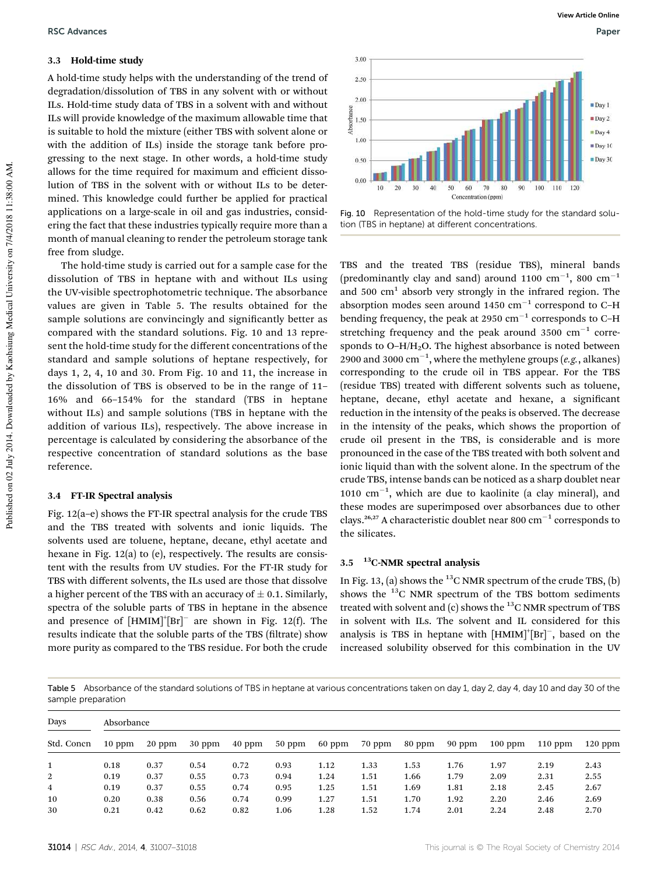#### 3.3 Hold-time study

A hold-time study helps with the understanding of the trend of degradation/dissolution of TBS in any solvent with or without ILs. Hold-time study data of TBS in a solvent with and without ILs will provide knowledge of the maximum allowable time that is suitable to hold the mixture (either TBS with solvent alone or with the addition of ILs) inside the storage tank before progressing to the next stage. In other words, a hold-time study allows for the time required for maximum and efficient dissolution of TBS in the solvent with or without ILs to be determined. This knowledge could further be applied for practical applications on a large-scale in oil and gas industries, considering the fact that these industries typically require more than a month of manual cleaning to render the petroleum storage tank free from sludge.

The hold-time study is carried out for a sample case for the dissolution of TBS in heptane with and without ILs using the UV-visible spectrophotometric technique. The absorbance values are given in Table 5. The results obtained for the sample solutions are convincingly and significantly better as compared with the standard solutions. Fig. 10 and 13 represent the hold-time study for the different concentrations of the standard and sample solutions of heptane respectively, for days 1, 2, 4, 10 and 30. From Fig. 10 and 11, the increase in the dissolution of TBS is observed to be in the range of 11– 16% and 66–154% for the standard (TBS in heptane without ILs) and sample solutions (TBS in heptane with the addition of various ILs), respectively. The above increase in percentage is calculated by considering the absorbance of the respective concentration of standard solutions as the base reference.

#### 3.4 FT-IR Spectral analysis

Fig. 12(a–e) shows the FT-IR spectral analysis for the crude TBS and the TBS treated with solvents and ionic liquids. The solvents used are toluene, heptane, decane, ethyl acetate and hexane in Fig. 12(a) to (e), respectively. The results are consistent with the results from UV studies. For the FT-IR study for TBS with different solvents, the ILs used are those that dissolve a higher percent of the TBS with an accuracy of  $\pm$  0.1. Similarly, spectra of the soluble parts of TBS in heptane in the absence and presence of  $[HMIN]$ <sup>+</sup> $[Br]$ <sup>-</sup> are shown in Fig. 12(f). The results indicate that the soluble parts of the TBS (filtrate) show more purity as compared to the TBS residue. For both the crude



Fig. 10 Representation of the hold-time study for the standard solution (TBS in heptane) at different concentrations.

TBS and the treated TBS (residue TBS), mineral bands (predominantly clay and sand) around 1100  $\text{cm}^{-1}$ , 800  $\text{cm}^{-1}$ and  $500 \text{ cm}^1$  absorb very strongly in the infrared region. The absorption modes seen around  $1450 \text{ cm}^{-1}$  correspond to C-H bending frequency, the peak at 2950  $cm^{-1}$  corresponds to C-H stretching frequency and the peak around  $3500 \text{ cm}^{-1}$  corresponds to  $O-H/H<sub>2</sub>O$ . The highest absorbance is noted between  $2900$  and 3000  $\text{cm}^{-1}$ , where the methylene groups (e.g., alkanes) corresponding to the crude oil in TBS appear. For the TBS (residue TBS) treated with different solvents such as toluene, heptane, decane, ethyl acetate and hexane, a significant reduction in the intensity of the peaks is observed. The decrease in the intensity of the peaks, which shows the proportion of crude oil present in the TBS, is considerable and is more pronounced in the case of the TBS treated with both solvent and ionic liquid than with the solvent alone. In the spectrum of the crude TBS, intense bands can be noticed as a sharp doublet near 1010  $\text{cm}^{-1}$ , which are due to kaolinite (a clay mineral), and these modes are superimposed over absorbances due to other clays.<sup>26,27</sup> A characteristic doublet near 800  $\text{cm}^{-1}$  corresponds to the silicates.

#### $3.5$  <sup>13</sup>C-NMR spectral analysis

In Fig. 13, (a) shows the  $^{13}$ C NMR spectrum of the crude TBS, (b) shows the  $^{13}$ C NMR spectrum of the TBS bottom sediments treated with solvent and  $(c)$  shows the  $^{13}$ C NMR spectrum of TBS in solvent with ILs. The solvent and IL considered for this analysis is TBS in heptane with  $[H M I M]$ <sup>+</sup> $[Br]$ <sup>-</sup>, based on the increased solubility observed for this combination in the UV

Table 5 Absorbance of the standard solutions of TBS in heptane at various concentrations taken on day 1, day 2, day 4, day 10 and day 30 of the sample preparation

| Days<br>Std. Concn | Absorbance |        |          |          |          |        |        |        |        |           |           |           |
|--------------------|------------|--------|----------|----------|----------|--------|--------|--------|--------|-----------|-----------|-----------|
|                    | $10$ ppm   | 20 ppm | $30$ ppm | $40$ ppm | $50$ ppm | 60 ppm | 70 ppm | 80 ppm | 90 ppm | $100$ ppm | $110$ ppm | $120$ ppm |
|                    | 0.18       | 0.37   | 0.54     | 0.72     | 0.93     | 1.12   | 1.33   | 1.53   | 1.76   | 1.97      | 2.19      | 2.43      |
| $\overline{2}$     | 0.19       | 0.37   | 0.55     | 0.73     | 0.94     | 1.24   | 1.51   | 1.66   | 1.79   | 2.09      | 2.31      | 2.55      |
| $\overline{4}$     | 0.19       | 0.37   | 0.55     | 0.74     | 0.95     | 1.25   | 1.51   | 1.69   | 1.81   | 2.18      | 2.45      | 2.67      |
| 10                 | 0.20       | 0.38   | 0.56     | 0.74     | 0.99     | 1.27   | 1.51   | 1.70   | 1.92   | 2.20      | 2.46      | 2.69      |
| 30                 | 0.21       | 0.42   | 0.62     | 0.82     | 1.06     | 1.28   | 1.52   | 1.74   | 2.01   | 2.24      | 2.48      | 2.70      |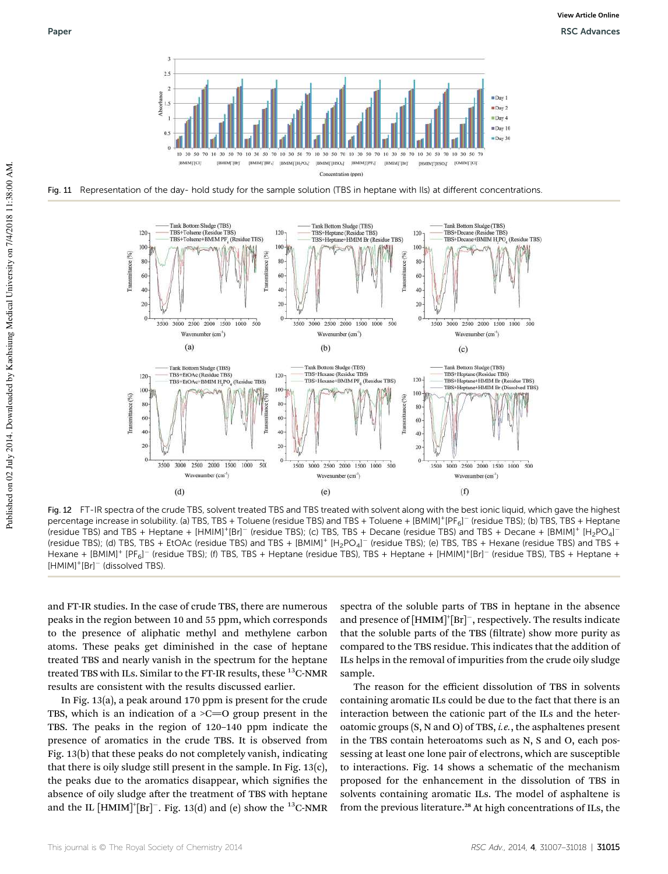

Fig. 11 Representation of the day- hold study for the sample solution (TBS in heptane with Ils) at different concentrations.



Fig. 12 FT-IR spectra of the crude TBS, solvent treated TBS and TBS treated with solvent along with the best ionic liquid, which gave the highest Percentage increase in solubility. (a) TBS, TBS + Toluene (residue TBS) and TBS + Toluene + [BMIM]<sup>+</sup>[PF<sub>6</sub>]<sup>-</sup> (residue TBS); (b) TBS, TBS + Heptane (residue TBS) and TBS + Heptane + [HMIM]<sup>+</sup>[Br]<sup>-</sup> (residue TBS); (c) TBS, TBS + Decane (residue TBS) and TBS + Decane + [BMIM]<sup>+</sup> [H<sub>2</sub>PO<sub>4</sub>]<sup>-</sup> (residue TBS); (d) TBS, TBS + EtOAc (residue TBS) and TBS + [BMIM]<sup>+</sup> [H<sub>2</sub>PO<sub>4</sub>]<sup>-</sup> (residue TBS); (e) TBS, TBS + Hexane (residue TBS) and TBS + Hexane + [BMIM]<sup>+</sup> [PF<sub>6</sub>]<sup>-</sup> (residue TBS); (f) TBS, TBS + Heptane (residue TBS), TBS + Heptane + [HMIM]<sup>+</sup>[Br]<sup>-</sup> (residue TBS), TBS + Heptane + [HMIM]<sup>+</sup> [Br] (dissolved TBS).

and FT-IR studies. In the case of crude TBS, there are numerous peaks in the region between 10 and 55 ppm, which corresponds to the presence of aliphatic methyl and methylene carbon atoms. These peaks get diminished in the case of heptane treated TBS and nearly vanish in the spectrum for the heptane treated TBS with ILs. Similar to the FT-IR results, these  $^{13}$ C-NMR results are consistent with the results discussed earlier.

In Fig. 13(a), a peak around 170 ppm is present for the crude TBS, which is an indication of a  $\geq$ C=O group present in the TBS. The peaks in the region of 120–140 ppm indicate the presence of aromatics in the crude TBS. It is observed from Fig. 13(b) that these peaks do not completely vanish, indicating that there is oily sludge still present in the sample. In Fig. 13(c), the peaks due to the aromatics disappear, which signifies the absence of oily sludge after the treatment of TBS with heptane and the IL  $[{\rm H}{\rm M}{\rm I}{\rm M}]^{+}[{\rm Br}]^{-}$ . Fig. 13(d) and (e) show the  $^{13}$ C-NMR

spectra of the soluble parts of TBS in heptane in the absence and presence of [HMIM]<sup>+</sup>[Br]<sup>-</sup>, respectively. The results indicate that the soluble parts of the TBS (filtrate) show more purity as compared to the TBS residue. This indicates that the addition of ILs helps in the removal of impurities from the crude oily sludge sample.

The reason for the efficient dissolution of TBS in solvents containing aromatic ILs could be due to the fact that there is an interaction between the cationic part of the ILs and the heteroatomic groups (S, N and O) of TBS, *i.e.*, the asphaltenes present in the TBS contain heteroatoms such as N, S and O, each possessing at least one lone pair of electrons, which are susceptible to interactions. Fig. 14 shows a schematic of the mechanism proposed for the enhancement in the dissolution of TBS in solvents containing aromatic ILs. The model of asphaltene is from the previous literature.<sup>28</sup> At high concentrations of ILs, the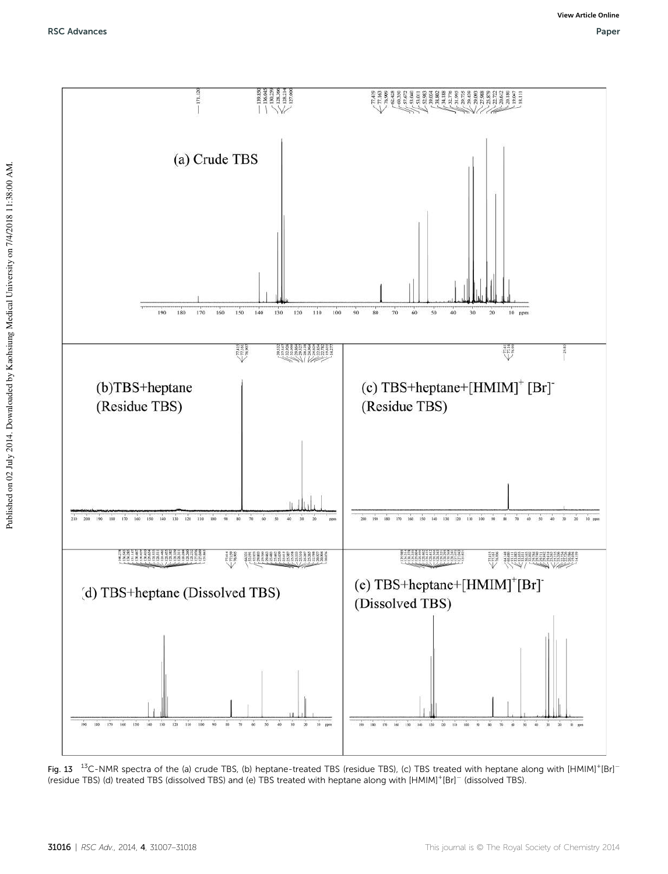

Fig. 13  $^{13}$ C-NMR spectra of the (a) crude TBS, (b) heptane-treated TBS (residue TBS), (c) TBS treated with heptane along with [HMIM]<sup>+</sup>[Br]<sup>-</sup> (residue TBS) (d) treated TBS (dissolved TBS) and (e) TBS treated with heptane along with [HMIM]<sup>+</sup> [Br] (dissolved TBS).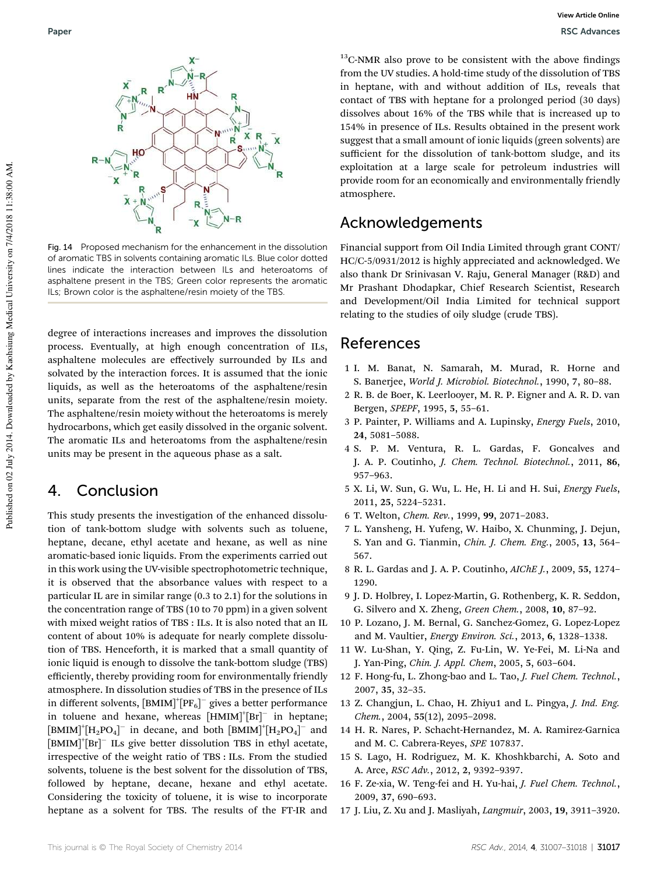

Fig. 14 Proposed mechanism for the enhancement in the dissolution of aromatic TBS in solvents containing aromatic ILs. Blue color dotted lines indicate the interaction between ILs and heteroatoms of asphaltene present in the TBS; Green color represents the aromatic ILs; Brown color is the asphaltene/resin moiety of the TBS.

degree of interactions increases and improves the dissolution process. Eventually, at high enough concentration of ILs, asphaltene molecules are effectively surrounded by ILs and solvated by the interaction forces. It is assumed that the ionic liquids, as well as the heteroatoms of the asphaltene/resin units, separate from the rest of the asphaltene/resin moiety. The asphaltene/resin moiety without the heteroatoms is merely hydrocarbons, which get easily dissolved in the organic solvent. The aromatic ILs and heteroatoms from the asphaltene/resin units may be present in the aqueous phase as a salt.

### 4. Conclusion

This study presents the investigation of the enhanced dissolution of tank-bottom sludge with solvents such as toluene, heptane, decane, ethyl acetate and hexane, as well as nine aromatic-based ionic liquids. From the experiments carried out in this work using the UV-visible spectrophotometric technique, it is observed that the absorbance values with respect to a particular IL are in similar range (0.3 to 2.1) for the solutions in the concentration range of TBS (10 to 70 ppm) in a given solvent with mixed weight ratios of TBS : ILs. It is also noted that an IL content of about 10% is adequate for nearly complete dissolution of TBS. Henceforth, it is marked that a small quantity of ionic liquid is enough to dissolve the tank-bottom sludge (TBS) efficiently, thereby providing room for environmentally friendly atmosphere. In dissolution studies of TBS in the presence of ILs in different solvents,  $[\text{BMIM}]^+[\text{PF}_6]^-$  gives a better performance in toluene and hexane, whereas [HMIM]<sup>+</sup>[Br]<sup>-</sup> in heptane; [BMIM]<sup>+</sup>[H<sub>2</sub>PO<sub>4</sub>]<sup>-</sup> in decane, and both [BMIM]<sup>+</sup>[H<sub>2</sub>PO<sub>4</sub>]<sup>-</sup> and [BMIM]<sup>+</sup> [Br] ILs give better dissolution TBS in ethyl acetate, irrespective of the weight ratio of TBS : ILs. From the studied solvents, toluene is the best solvent for the dissolution of TBS, followed by heptane, decane, hexane and ethyl acetate. Considering the toxicity of toluene, it is wise to incorporate heptane as a solvent for TBS. The results of the FT-IR and

 $13$ C-NMR also prove to be consistent with the above findings from the UV studies. A hold-time study of the dissolution of TBS in heptane, with and without addition of ILs, reveals that contact of TBS with heptane for a prolonged period (30 days) dissolves about 16% of the TBS while that is increased up to 154% in presence of ILs. Results obtained in the present work suggest that a small amount of ionic liquids (green solvents) are sufficient for the dissolution of tank-bottom sludge, and its exploitation at a large scale for petroleum industries will provide room for an economically and environmentally friendly atmosphere.

### Acknowledgements

Financial support from Oil India Limited through grant CONT/ HC/C-5/0931/2012 is highly appreciated and acknowledged. We also thank Dr Srinivasan V. Raju, General Manager (R&D) and Mr Prashant Dhodapkar, Chief Research Scientist, Research and Development/Oil India Limited for technical support relating to the studies of oily sludge (crude TBS).

### References

- 1 I. M. Banat, N. Samarah, M. Murad, R. Horne and S. Banerjee, *World J. Microbiol. Biotechnol.*, 1990, 7, 80–88.
- 2 R. B. de Boer, K. Leerlooyer, M. R. P. Eigner and A. R. D. van Bergen, *SPEPF*, 1995, 5, 55–61.
- 3 P. Painter, P. Williams and A. Lupinsky, *Energy Fuels*, 2010, 24, 5081–5088.
- 4 S. P. M. Ventura, R. L. Gardas, F. Goncalves and J. A. P. Coutinho, *J. Chem. Technol. Biotechnol.*, 2011, 86, 957–963.
- 5 X. Li, W. Sun, G. Wu, L. He, H. Li and H. Sui, *Energy Fuels*, 2011, 25, 5224–5231.
- 6 T. Welton, *Chem. Rev.*, 1999, 99, 2071–2083.
- 7 L. Yansheng, H. Yufeng, W. Haibo, X. Chunming, J. Dejun, S. Yan and G. Tianmin, *Chin. J. Chem. Eng.*, 2005, 13, 564– 567.
- 8 R. L. Gardas and J. A. P. Coutinho, *AIChE J.*, 2009, 55, 1274– 1290.
- 9 J. D. Holbrey, I. Lopez-Martin, G. Rothenberg, K. R. Seddon, G. Silvero and X. Zheng, *Green Chem.*, 2008, 10, 87–92.
- 10 P. Lozano, J. M. Bernal, G. Sanchez-Gomez, G. Lopez-Lopez and M. Vaultier, *Energy Environ. Sci.*, 2013, 6, 1328–1338.
- 11 W. Lu-Shan, Y. Qing, Z. Fu-Lin, W. Ye-Fei, M. Li-Na and J. Yan-Ping, *Chin. J. Appl. Chem*, 2005, 5, 603–604.
- 12 F. Hong-fu, L. Zhong-bao and L. Tao, *J. Fuel Chem. Technol.*, 2007, 35, 32–35.
- 13 Z. Changjun, L. Chao, H. Zhiyu1 and L. Pingya, *J. Ind. Eng. Chem.*, 2004, 55(12), 2095–2098.
- 14 H. R. Nares, P. Schacht-Hernandez, M. A. Ramirez-Garnica and M. C. Cabrera-Reyes, *SPE* 107837.
- 15 S. Lago, H. Rodriguez, M. K. Khoshkbarchi, A. Soto and A. Arce, *RSC Adv.*, 2012, 2, 9392–9397.
- 16 F. Ze-xia, W. Teng-fei and H. Yu-hai, *J. Fuel Chem. Technol.*, 2009, 37, 690–693.
- 17 J. Liu, Z. Xu and J. Masliyah, *Langmuir*, 2003, 19, 3911–3920.